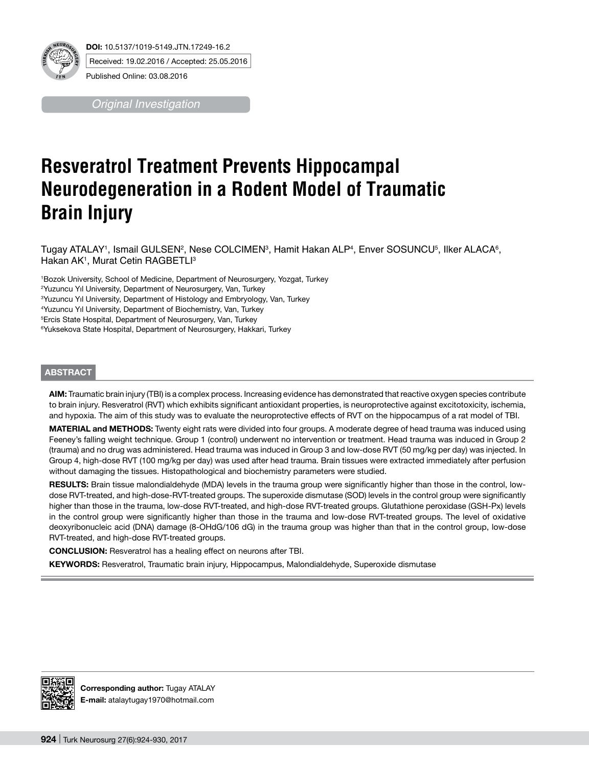

*Original Investigation*

# **Resveratrol Treatment Prevents Hippocampal Neurodegeneration in a Rodent Model of Traumatic Brain Injury**

 $\Gamma$ ugay ATALAY', Ismail GULSEN $^2$ , Nese COLCIMEN $^3$ , Hamit Hakan ALP $^4$ , Enver SOSUNCU $^5$ , Ilker ALACA $^6$ , Hakan AK<sup>1</sup>, Murat Cetin RAGBETLI<sup>3</sup>

1 Bozok University, School of Medicine, Department of Neurosurgery, Yozgat, Turkey

2 Yuzuncu Yıl University, Department of Neurosurgery, Van, Turkey

3 Yuzuncu Yıl University, Department of Histology and Embryology, Van, Turkey

4 Yuzuncu Yıl University, Department of Biochemistry, Van, Turkey

5 Ercis State Hospital, Department of Neurosurgery, Van, Turkey

6 Yuksekova State Hospital, Department of Neurosurgery, Hakkari, Turkey

#### **ABSTRACT**

**AIm:** Traumatic brain injury (TBI) is a complex process. Increasing evidence has demonstrated that reactive oxygen species contribute to brain injury. Resveratrol (RVT) which exhibits significant antioxidant properties, is neuroprotective against excitotoxicity, ischemia, and hypoxia. The aim of this study was to evaluate the neuroprotective effects of RVT on the hippocampus of a rat model of TBI.

MATERIAL and METHODS: Twenty eight rats were divided into four groups. A moderate degree of head trauma was induced using Feeney's falling weight technique. Group 1 (control) underwent no intervention or treatment. Head trauma was induced in Group 2 (trauma) and no drug was administered. Head trauma was induced in Group 3 and low-dose RVT (50 mg/kg per day) was injected. In Group 4, high-dose RVT (100 mg/kg per day) was used after head trauma. Brain tissues were extracted immediately after perfusion without damaging the tissues. Histopathological and biochemistry parameters were studied.

RESULTS: Brain tissue malondialdehyde (MDA) levels in the trauma group were significantly higher than those in the control, lowdose RVT-treated, and high-dose-RVT-treated groups. The superoxide dismutase (SOD) levels in the control group were significantly higher than those in the trauma, low-dose RVT-treated, and high-dose RVT-treated groups. Glutathione peroxidase (GSH-Px) levels in the control group were significantly higher than those in the trauma and low-dose RVT-treated groups. The level of oxidative deoxyribonucleic acid (DNA) damage (8-OHdG/106 dG) in the trauma group was higher than that in the control group, low-dose RVT-treated, and high-dose RVT-treated groups.

**ConclusIon:** Resveratrol has a healing effect on neurons after TBI.

**Keywords:** Resveratrol, Traumatic brain injury, Hippocampus, Malondialdehyde, Superoxide dismutase



**Corresponding author:** Tugay ATALAY **E-mail:** atalaytugay1970@hotmail.com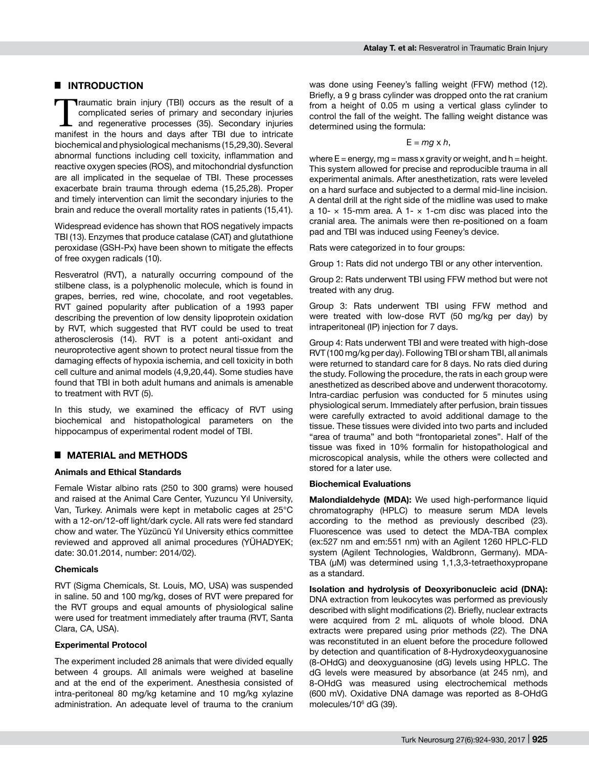## █ **INTRODUCTION**

Traumatic brain injury (TBI) occurs as the result of a<br>
complicated series of primary and secondary injuries<br>
and regenerative processes (35). Secondary injuries<br>
manifest in the bours and days after TBI due to intricate complicated series of primary and secondary injuries manifest in the hours and days after TBI due to intricate biochemical and physiological mechanisms (15,29,30). Several abnormal functions including cell toxicity, inflammation and reactive oxygen species (ROS), and mitochondrial dysfunction are all implicated in the sequelae of TBI. These processes exacerbate brain trauma through edema (15,25,28). Proper and timely intervention can limit the secondary injuries to the brain and reduce the overall mortality rates in patients (15,41).

Widespread evidence has shown that ROS negatively impacts TBI (13). Enzymes that produce catalase (CAT) and glutathione peroxidase (GSH-Px) have been shown to mitigate the effects of free oxygen radicals (10).

Resveratrol (RVT), a naturally occurring compound of the stilbene class, is a polyphenolic molecule, which is found in grapes, berries, red wine, chocolate, and root vegetables. RVT gained popularity after publication of a 1993 paper describing the prevention of low density lipoprotein oxidation by RVT, which suggested that RVT could be used to treat atherosclerosis (14). RVT is a potent anti-oxidant and neuroprotective agent shown to protect neural tissue from the damaging effects of hypoxia ischemia, and cell toxicity in both cell culture and animal models (4,9,20,44). Some studies have found that TBI in both adult humans and animals is amenable to treatment with RVT (5).

In this study, we examined the efficacy of RVT using biochemical and histopathological parameters on the hippocampus of experimental rodent model of TBI.

## █ **MATERIAL and METHODS**

### **Animals and Ethical Standards**

Female Wistar albino rats (250 to 300 grams) were housed and raised at the Animal Care Center, Yuzuncu Yıl University, Van, Turkey. Animals were kept in metabolic cages at 25°C with a 12-on/12-off light/dark cycle. All rats were fed standard chow and water. The Yüzüncü Yıl University ethics committee reviewed and approved all animal procedures (YÜHADYEK; date: 30.01.2014, number: 2014/02).

#### **Chemicals**

RVT (Sigma Chemicals, St. Louis, MO, USA) was suspended in saline. 50 and 100 mg/kg, doses of RVT were prepared for the RVT groups and equal amounts of physiological saline were used for treatment immediately after trauma (RVT, Santa Clara, CA, USA).

#### **Experimental Protocol**

The experiment included 28 animals that were divided equally between 4 groups. All animals were weighed at baseline and at the end of the experiment. Anesthesia consisted of intra-peritoneal 80 mg/kg ketamine and 10 mg/kg xylazine administration. An adequate level of trauma to the cranium was done using Feeney's falling weight (FFW) method (12). Briefly, a 9 g brass cylinder was dropped onto the rat cranium from a height of 0.05 m using a vertical glass cylinder to control the fall of the weight. The falling weight distance was determined using the formula:

 $E = mq \times h$ ,

where  $E =$  energy, mg = mass x gravity or weight, and h = height. This system allowed for precise and reproducible trauma in all experimental animals. After anesthetization, rats were leveled on a hard surface and subjected to a dermal mid-line incision. A dental drill at the right side of the midline was used to make a 10-  $\times$  15-mm area. A 1-  $\times$  1-cm disc was placed into the cranial area. The animals were then re-positioned on a foam pad and TBI was induced using Feeney's device.

Rats were categorized in to four groups:

Group 1: Rats did not undergo TBI or any other intervention.

Group 2: Rats underwent TBI using FFW method but were not treated with any drug.

Group 3: Rats underwent TBI using FFW method and were treated with low-dose RVT (50 mg/kg per day) by intraperitoneal (IP) injection for 7 days.

Group 4: Rats underwent TBI and were treated with high-dose RVT (100 mg/kg per day). Following TBI or sham TBI, all animals were returned to standard care for 8 days. No rats died during the study. Following the procedure, the rats in each group were anesthetized as described above and underwent thoracotomy. Intra-cardiac perfusion was conducted for 5 minutes using physiological serum. Immediately after perfusion, brain tissues were carefully extracted to avoid additional damage to the tissue. These tissues were divided into two parts and included "area of trauma" and both "frontoparietal zones". Half of the tissue was fixed in 10% formalin for histopathological and microscopical analysis, while the others were collected and stored for a later use.

#### **Biochemical Evaluations**

**Malondialdehyde (MDA):** We used high-performance liquid chromatography (HPLC) to measure serum MDA levels according to the method as previously described (23). Fluorescence was used to detect the MDA-TBA complex (ex:527 nm and em:551 nm) with an Agilent 1260 HPLC-FLD system (Agilent Technologies, Waldbronn, Germany). MDA-TBA (μM) was determined using 1,1,3,3-tetraethoxypropane as a standard.

**Isolation and hydrolysis of Deoxyribonucleic acid (DNA):**  DNA extraction from leukocytes was performed as previously described with slight modifications (2). Briefly, nuclear extracts were acquired from 2 mL aliquots of whole blood. DNA extracts were prepared using prior methods (22). The DNA was reconstituted in an eluent before the procedure followed by detection and quantification of 8-Hydroxydeoxyguanosine (8-OHdG) and deoxyguanosine (dG) levels using HPLC. The dG levels were measured by absorbance (at 245 nm), and 8-OHdG was measured using electrochemical methods (600 mV). Oxidative DNA damage was reported as 8-OHdG molecules/106 dG (39).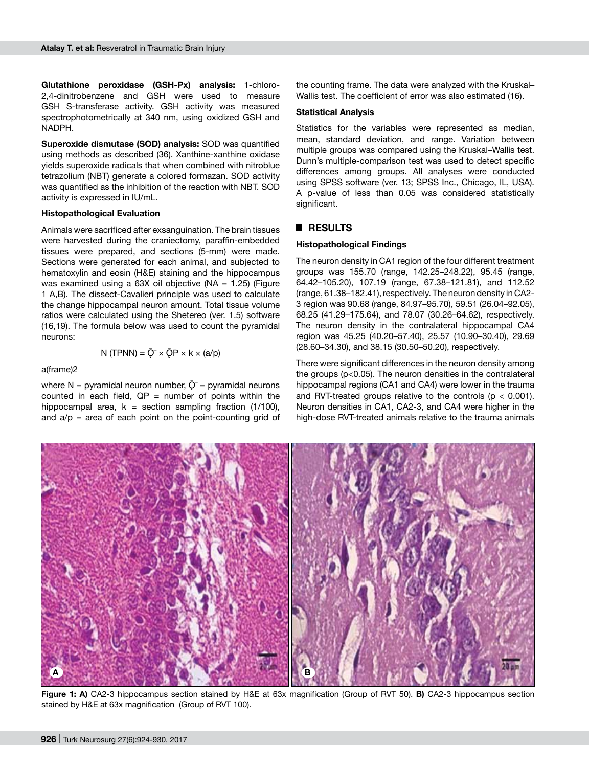**Glutathione peroxidase (GSH-Px) analysis:** 1-chloro-2,4-dinitrobenzene and GSH were used to measure GSH S-transferase activity. GSH activity was measured spectrophotometrically at 340 nm, using oxidized GSH and NADPH.

**Superoxide dismutase (SOD) analysis:** SOD was quantified using methods as described (36). Xanthine-xanthine oxidase yields superoxide radicals that when combined with nitroblue tetrazolium (NBT) generate a colored formazan. SOD activity was quantified as the inhibition of the reaction with NBT. SOD activity is expressed in IU/mL.

#### **Histopathological Evaluation**

Animals were sacrificed after exsanguination. The brain tissues were harvested during the craniectomy, paraffin-embedded tissues were prepared, and sections (5-mm) were made. Sections were generated for each animal, and subjected to hematoxylin and eosin (H&E) staining and the hippocampus was examined using a  $63X$  oil objective (NA = 1.25) (Figure 1 A,B). The dissect-Cavalieri principle was used to calculate the change hippocampal neuron amount. Total tissue volume ratios were calculated using the Shetereo (ver. 1.5) software (16,19). The formula below was used to count the pyramidal neurons:

## a(frame)2

where N = pyramidal neuron number,  $\overline{Q}$  = pyramidal neurons counted in each field,  $QP =$  number of points within the hippocampal area,  $k =$  section sampling fraction (1/100), and  $a/p =$  area of each point on the point-counting grid of

N (TPNN) =  $\overline{Q}^{-} \times \overline{Q}P \times k \times (a/p)$ 

the counting frame. The data were analyzed with the Kruskal– Wallis test. The coefficient of error was also estimated (16).

#### **Statistical Analysis**

Statistics for the variables were represented as median, mean, standard deviation, and range. Variation between multiple groups was compared using the Kruskal–Wallis test. Dunn's multiple-comparison test was used to detect specific differences among groups. All analyses were conducted using SPSS software (ver. 13; SPSS Inc., Chicago, IL, USA). A p-value of less than 0.05 was considered statistically significant.

#### █ **RESULTS**

#### **Histopathological Findings**

The neuron density in CA1 region of the four different treatment groups was 155.70 (range, 142.25–248.22), 95.45 (range, 64.42–105.20), 107.19 (range, 67.38–121.81), and 112.52 (range, 61.38–182.41), respectively. The neuron density in CA2- 3 region was 90.68 (range, 84.97–95.70), 59.51 (26.04–92.05), 68.25 (41.29–175.64), and 78.07 (30.26–64.62), respectively. The neuron density in the contralateral hippocampal CA4 region was 45.25 (40.20–57.40), 25.57 (10.90–30.40), 29.69 (28.60–34.30), and 38.15 (30.50–50.20), respectively.

There were significant differences in the neuron density among the groups (p<0.05). The neuron densities in the contralateral hippocampal regions (CA1 and CA4) were lower in the trauma and RVT-treated groups relative to the controls ( $p < 0.001$ ). Neuron densities in CA1, CA2-3, and CA4 were higher in the high-dose RVT-treated animals relative to the trauma animals



**Figure 1: A)** CA2-3 hippocampus section stained by H&E at 63x magnification (Group of RVT 50). **B)** CA2-3 hippocampus section stained by H&E at 63x magnification (Group of RVT 100).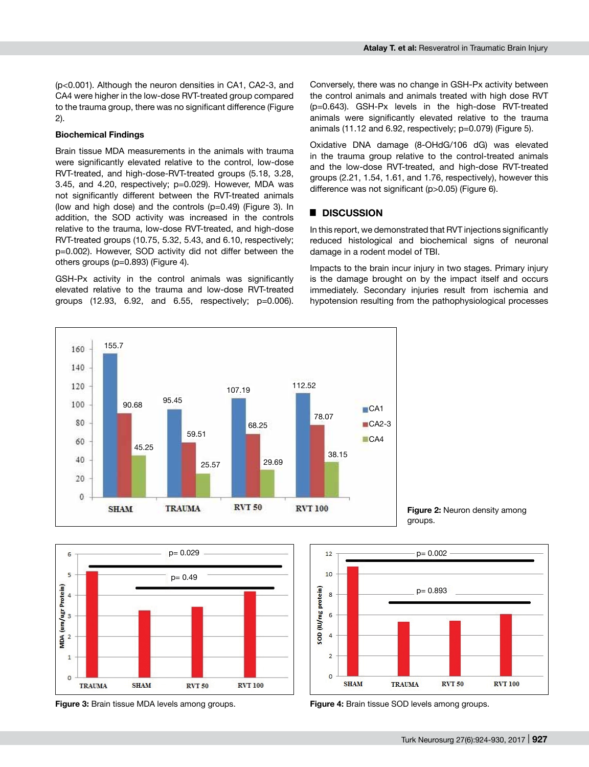(p<0.001). Although the neuron densities in CA1, CA2-3, and CA4 were higher in the low-dose RVT-treated group compared to the trauma group, there was no significant difference (Figure 2).

#### **Biochemical Findings**

Brain tissue MDA measurements in the animals with trauma were significantly elevated relative to the control, low-dose RVT-treated, and high-dose-RVT-treated groups (5.18, 3.28, 3.45, and 4.20, respectively; p=0.029). However, MDA was not significantly different between the RVT-treated animals (low and high dose) and the controls (p=0.49) (Figure 3). In addition, the SOD activity was increased in the controls relative to the trauma, low-dose RVT-treated, and high-dose RVT-treated groups (10.75, 5.32, 5.43, and 6.10, respectively; p=0.002). However, SOD activity did not differ between the others groups (p=0.893) (Figure 4).

GSH-Px activity in the control animals was significantly elevated relative to the trauma and low-dose RVT-treated groups (12.93, 6.92, and 6.55, respectively; p=0.006).

Conversely, there was no change in GSH-Px activity between the control animals and animals treated with high dose RVT (p=0.643). GSH-Px levels in the high-dose RVT-treated animals were significantly elevated relative to the trauma animals (11.12 and 6.92, respectively; p=0.079) (Figure 5).

Oxidative DNA damage (8-OHdG/106 dG) was elevated in the trauma group relative to the control-treated animals and the low-dose RVT-treated, and high-dose RVT-treated groups (2.21, 1.54, 1.61, and 1.76, respectively), however this difference was not significant (p>0.05) (Figure 6).

### █ **DISCUSSION**

In this report, we demonstrated that RVT injections significantly reduced histological and biochemical signs of neuronal damage in a rodent model of TBI.

Impacts to the brain incur injury in two stages. Primary injury is the damage brought on by the impact itself and occurs immediately. Secondary injuries result from ischemia and hypotension resulting from the pathophysiological processes







**Figure 3:** Brain tissue MDA levels among groups. **Figure 4:** Brain tissue SOD levels among groups.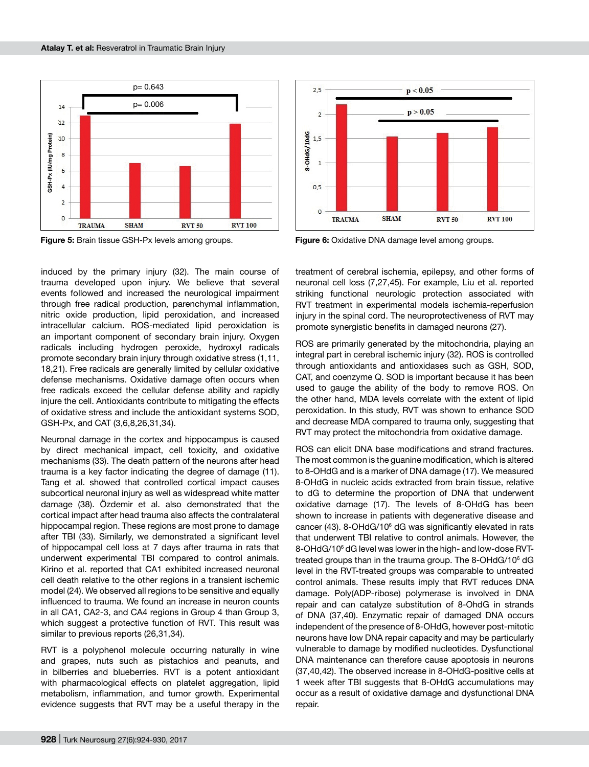

induced by the primary injury (32). The main course of trauma developed upon injury. We believe that several events followed and increased the neurological impairment through free radical production, parenchymal inflammation, nitric oxide production, lipid peroxidation, and increased intracellular calcium. ROS-mediated lipid peroxidation is an important component of secondary brain injury. Oxygen radicals including hydrogen peroxide, hydroxyl radicals promote secondary brain injury through oxidative stress (1,11, 18,21). Free radicals are generally limited by cellular oxidative defense mechanisms. Oxidative damage often occurs when free radicals exceed the cellular defense ability and rapidly injure the cell. Antioxidants contribute to mitigating the effects of oxidative stress and include the antioxidant systems SOD, GSH-Px, and CAT (3,6,8,26,31,34).

Neuronal damage in the cortex and hippocampus is caused by direct mechanical impact, cell toxicity, and oxidative mechanisms (33). The death pattern of the neurons after head trauma is a key factor indicating the degree of damage (11). Tang et al. showed that controlled cortical impact causes subcortical neuronal injury as well as widespread white matter damage (38). Özdemir et al. also demonstrated that the cortical impact after head trauma also affects the contralateral hippocampal region. These regions are most prone to damage after TBI (33). Similarly, we demonstrated a significant level of hippocampal cell loss at 7 days after trauma in rats that underwent experimental TBI compared to control animals. Kirino et al. reported that CA1 exhibited increased neuronal cell death relative to the other regions in a transient ischemic model (24). We observed all regions to be sensitive and equally influenced to trauma. We found an increase in neuron counts in all CA1, CA2-3, and CA4 regions in Group 4 than Group 3, which suggest a protective function of RVT. This result was similar to previous reports (26,31,34).

RVT is a polyphenol molecule occurring naturally in wine and grapes, nuts such as pistachios and peanuts, and in bilberries and blueberries. RVT is a potent antioxidant with pharmacological effects on platelet aggregation, lipid metabolism, inflammation, and tumor growth. Experimental evidence suggests that RVT may be a useful therapy in the



**Figure 5:** Brain tissue GSH-Px levels among groups. **Figure 6:** Oxidative DNA damage level among groups.

treatment of cerebral ischemia, epilepsy, and other forms of neuronal cell loss (7,27,45). For example, Liu et al. reported striking functional neurologic protection associated with RVT treatment in experimental models ischemia-reperfusion injury in the spinal cord. The neuroprotectiveness of RVT may promote synergistic benefits in damaged neurons (27).

ROS are primarily generated by the mitochondria, playing an integral part in cerebral ischemic injury (32). ROS is controlled through antioxidants and antioxidases such as GSH, SOD, CAT, and coenzyme Q. SOD is important because it has been used to gauge the ability of the body to remove ROS. On the other hand, MDA levels correlate with the extent of lipid peroxidation. In this study, RVT was shown to enhance SOD and decrease MDA compared to trauma only, suggesting that RVT may protect the mitochondria from oxidative damage.

ROS can elicit DNA base modifications and strand fractures. The most common is the guanine modification, which is altered to 8-OHdG and is a marker of DNA damage (17). We measured 8-OHdG in nucleic acids extracted from brain tissue, relative to dG to determine the proportion of DNA that underwent oxidative damage (17). The levels of 8-OHdG has been shown to increase in patients with degenerative disease and cancer (43). 8-OHdG/106 dG was significantly elevated in rats that underwent TBI relative to control animals. However, the 8-OHdG/106 dG level was lower in the high- and low-dose RVTtreated groups than in the trauma group. The 8-OHdG/106 dG level in the RVT-treated groups was comparable to untreated control animals. These results imply that RVT reduces DNA damage. Poly(ADP-ribose) polymerase is involved in DNA repair and can catalyze substitution of 8-OhdG in strands of DNA (37,40). Enzymatic repair of damaged DNA occurs independent of the presence of 8-OHdG, however post-mitotic neurons have low DNA repair capacity and may be particularly vulnerable to damage by modified nucleotides. Dysfunctional DNA maintenance can therefore cause apoptosis in neurons (37,40,42). The observed increase in 8-OHdG-positive cells at 1 week after TBI suggests that 8-OHdG accumulations may occur as a result of oxidative damage and dysfunctional DNA repair.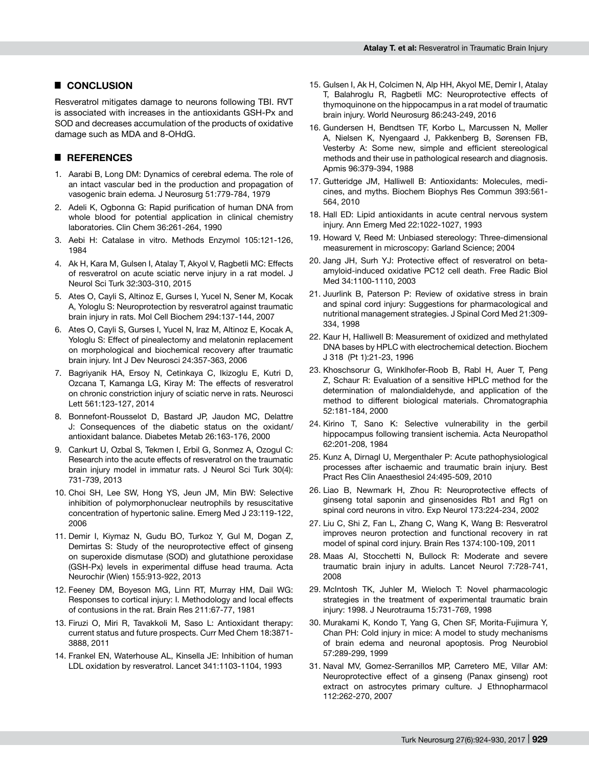#### █ **CONCLUSION**

Resveratrol mitigates damage to neurons following TBI. RVT is associated with increases in the antioxidants GSH-Px and SOD and decreases accumulation of the products of oxidative damage such as MDA and 8-OHdG.

## █ **REFERENCES**

- 1. Aarabi B, Long DM: Dynamics of cerebral edema. The role of an intact vascular bed in the production and propagation of vasogenic brain edema. J Neurosurg 51:779-784, 1979
- 2. Adeli K, Ogbonna G: Rapid purification of human DNA from whole blood for potential application in clinical chemistry laboratories. Clin Chem 36:261-264, 1990
- 3. Aebi H: Catalase in vitro. Methods Enzymol 105:121-126, 1984
- 4. Ak H, Kara M, Gulsen I, Atalay T, Akyol V, Ragbetli MC: Effects of resveratrol on acute sciatic nerve injury in a rat model. J Neurol Sci Turk 32:303-310, 2015
- 5. Ates O, Cayli S, Altinoz E, Gurses I, Yucel N, Sener M, Kocak A, Yologlu S: Neuroprotection by resveratrol against traumatic brain injury in rats. Mol Cell Biochem 294:137-144, 2007
- 6. Ates O, Cayli S, Gurses I, Yucel N, Iraz M, Altinoz E, Kocak A, Yologlu S: Effect of pinealectomy and melatonin replacement on morphological and biochemical recovery after traumatic brain injury. Int J Dev Neurosci 24:357-363, 2006
- 7. Bagriyanik HA, Ersoy N, Cetinkaya C, Ikizoglu E, Kutri D, Ozcana T, Kamanga LG, Kiray M: The effects of resveratrol on chronic constriction injury of sciatic nerve in rats. Neurosci Lett 561:123-127, 2014
- 8. Bonnefont-Rousselot D, Bastard JP, Jaudon MC, Delattre J: Consequences of the diabetic status on the oxidant/ antioxidant balance. Diabetes Metab 26:163-176, 2000
- 9. Cankurt U, Ozbal S, Tekmen I, Erbil G, Sonmez A, Ozogul C: Research into the acute effects of resveratrol on the traumatic brain injury model in immatur rats. J Neurol Sci Turk 30(4): 731-739, 2013
- 10. Choi SH, Lee SW, Hong YS, Jeun JM, Min BW: Selective inhibition of polymorphonuclear neutrophils by resuscitative concentration of hypertonic saline. Emerg Med J 23:119-122, 2006
- 11. Demir I, Kiymaz N, Gudu BO, Turkoz Y, Gul M, Dogan Z, Demirtas S: Study of the neuroprotective effect of ginseng on superoxide dismutase (SOD) and glutathione peroxidase (GSH-Px) levels in experimental diffuse head trauma. Acta Neurochir (Wien) 155:913-922, 2013
- 12. Feeney DM, Boyeson MG, Linn RT, Murray HM, Dail WG: Responses to cortical injury: I. Methodology and local effects of contusions in the rat. Brain Res 211:67-77, 1981
- 13. Firuzi O, Miri R, Tavakkoli M, Saso L: Antioxidant therapy: current status and future prospects. Curr Med Chem 18:3871- 3888, 2011
- 14. Frankel EN, Waterhouse AL, Kinsella JE: Inhibition of human LDL oxidation by resveratrol. Lancet 341:1103-1104, 1993
- 15. Gulsen I, Ak H, Colcimen N, Alp HH, Akyol ME, Demir I, Atalay T, Balahroglu R, Ragbetli MC: Neuroprotective effects of thymoquinone on the hippocampus in a rat model of traumatic brain injury. World Neurosurg 86:243-249, 2016
- 16. Gundersen H, Bendtsen TF, Korbo L, Marcussen N, Møller A, Nielsen K, Nyengaard J, Pakkenberg B, Sørensen FB, Vesterby A: Some new, simple and efficient stereological methods and their use in pathological research and diagnosis. Apmis 96:379-394, 1988
- 17. Gutteridge JM, Halliwell B: Antioxidants: Molecules, medicines, and myths. Biochem Biophys Res Commun 393:561- 564, 2010
- 18. Hall ED: Lipid antioxidants in acute central nervous system injury. Ann Emerg Med 22:1022-1027, 1993
- 19. Howard V, Reed M: Unbiased stereology: Three-dimensional measurement in microscopy: Garland Science; 2004
- 20. Jang JH, Surh YJ: Protective effect of resveratrol on betaamyloid-induced oxidative PC12 cell death. Free Radic Biol Med 34:1100-1110, 2003
- 21. Juurlink B, Paterson P: Review of oxidative stress in brain and spinal cord injury: Suggestions for pharmacological and nutritional management strategies. J Spinal Cord Med 21:309- 334, 1998
- 22. Kaur H, Halliwell B: Measurement of oxidized and methylated DNA bases by HPLC with electrochemical detection. Biochem J 318 (Pt 1):21-23, 1996
- 23. Khoschsorur G, Winklhofer-Roob B, Rabl H, Auer T, Peng Z, Schaur R: Evaluation of a sensitive HPLC method for the determination of malondialdehyde, and application of the method to different biological materials. Chromatographia 52:181-184, 2000
- 24. Kirino T, Sano K: Selective vulnerability in the gerbil hippocampus following transient ischemia. Acta Neuropathol 62:201-208, 1984
- 25. Kunz A, Dirnagl U, Mergenthaler P: Acute pathophysiological processes after ischaemic and traumatic brain injury. Best Pract Res Clin Anaesthesiol 24:495-509, 2010
- 26. Liao B, Newmark H, Zhou R: Neuroprotective effects of ginseng total saponin and ginsenosides Rb1 and Rg1 on spinal cord neurons in vitro. Exp Neurol 173:224-234, 2002
- 27. Liu C, Shi Z, Fan L, Zhang C, Wang K, Wang B: Resveratrol improves neuron protection and functional recovery in rat model of spinal cord injury. Brain Res 1374:100-109, 2011
- 28. Maas AI, Stocchetti N, Bullock R: Moderate and severe traumatic brain injury in adults. Lancet Neurol 7:728-741, 2008
- 29. McIntosh TK, Juhler M, Wieloch T: Novel pharmacologic strategies in the treatment of experimental traumatic brain injury: 1998. J Neurotrauma 15:731-769, 1998
- 30. Murakami K, Kondo T, Yang G, Chen SF, Morita-Fujimura Y, Chan PH: Cold injury in mice: A model to study mechanisms of brain edema and neuronal apoptosis. Prog Neurobiol 57:289-299, 1999
- 31. Naval MV, Gomez-Serranillos MP, Carretero ME, Villar AM: Neuroprotective effect of a ginseng (Panax ginseng) root extract on astrocytes primary culture. J Ethnopharmacol 112:262-270, 2007